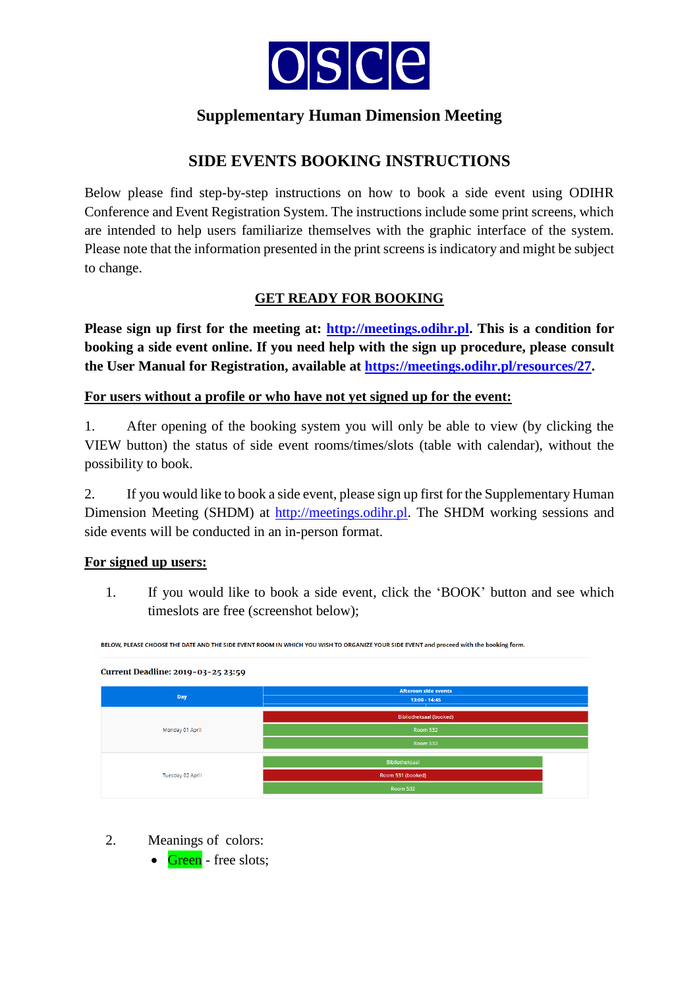

# **SIDE EVENTS BOOKING INSTRUCTIONS**

Below please find step-by-step instructions on how to book a side event using ODIHR Conference and Event Registration System. The instructions include some print screens, which are intended to help users familiarize themselves with the graphic interface of the system. Please note that the information presented in the print screens is indicatory and might be subject to change.

## **GET READY FOR BOOKING**

**Please sign up first for the meeting at: [http://meetings.odihr.pl.](http://meetings.odihr.pl/) This is a condition for booking a side event online. If you need help with the sign up procedure, please consult the User Manual for Registration, available at [https://meetings.odihr.pl/resources/27.](https://meetings.odihr.pl/resources/27)** 

### **For users without a profile or who have not yet signed up for the event:**

1. After opening of the booking system you will only be able to view (by clicking the VIEW button) the status of side event rooms/times/slots (table with calendar), without the possibility to book.

2. If you would like to book a side event, please sign up first for the Supplementary Human Dimension Meeting (SHDM) at [http://meetings.odihr.pl.](http://meetings.odihr.pl/) The SHDM working sessions and side events will be conducted in an in-person format.

### **For signed up users:**

1. If you would like to book a side event, click the 'BOOK' button and see which timeslots are free (screenshot below);

| Current Deadline: 2019-03-25 23:59 |                                |  |
|------------------------------------|--------------------------------|--|
|                                    | <b>Afteroon side events</b>    |  |
| Day                                | 13:00 - 14:45                  |  |
|                                    |                                |  |
|                                    | <b>Bibliotheksaal (booked)</b> |  |
| Monday 01 April                    | <b>Room 532</b>                |  |
|                                    | <b>Room 533</b>                |  |
|                                    |                                |  |
|                                    | Bibliotheksaal                 |  |
| Tuesday 02 April                   | Room 531 (booked)              |  |
|                                    | <b>Room 532</b>                |  |
|                                    |                                |  |

BELOW. PLEASE CHOOSE THE DATE AND THE SIDE EVENT ROOM IN WHICH YOU WISH TO ORGANIZE YOUR SIDE EVENT and proceed with the booking form

- 2. Meanings of colors:
	- $\bullet$  Green free slots;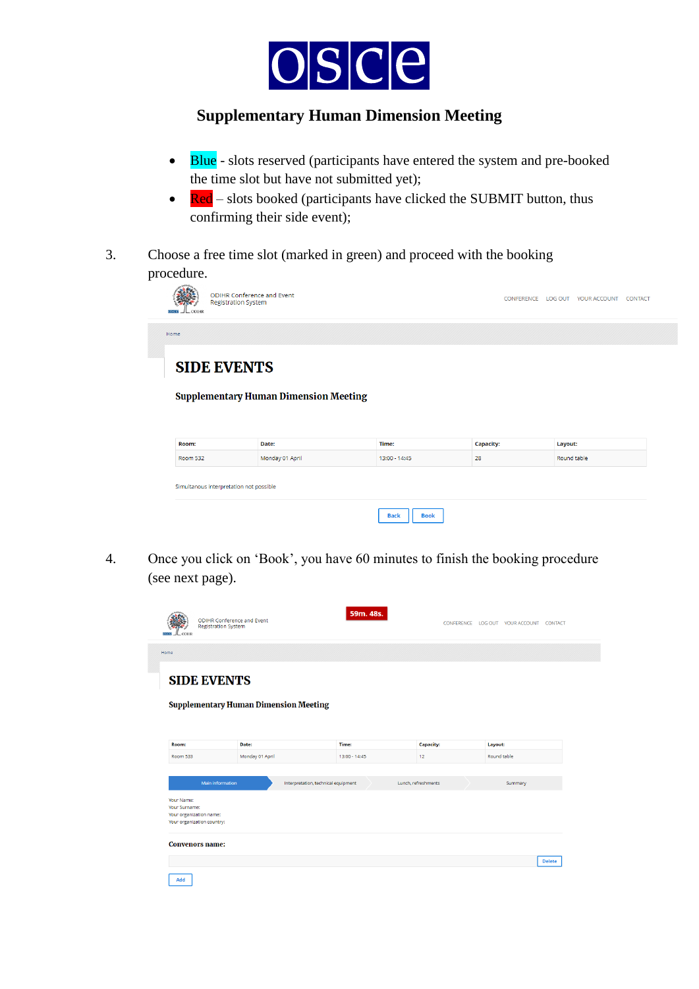

- Blue slots reserved (participants have entered the system and pre-booked the time slot but have not submitted yet);
- $\bullet$  Red slots booked (participants have clicked the SUBMIT button, thus confirming their side event);
- 3. Choose a free time slot (marked in green) and proceed with the booking procedure.

| <b>ODIHR Conference and Event</b><br><b>Registration System</b><br>$I_{\text{LODIHR}}$<br>osca |  | CONFERENCE LOG OUT YOUR ACCOUNT | <b>CONTACT</b> |
|------------------------------------------------------------------------------------------------|--|---------------------------------|----------------|
| Home                                                                                           |  |                                 |                |
| <b>SIDE EVENTS</b><br><b>Supplementary Human Dimension Meeting</b>                             |  |                                 |                |

| <b>Room:</b>                            | Date:           | Time:                      | <b>Capacity:</b> | Layout:     |
|-----------------------------------------|-----------------|----------------------------|------------------|-------------|
| Room 532                                | Monday 01 April | 13:00 - 14:45              | 28               | Round table |
| Simultanous interpretation not possible |                 |                            |                  |             |
|                                         |                 | <b>Back</b><br><b>Book</b> |                  |             |

4. Once you click on 'Book', you have 60 minutes to finish the booking procedure (see next page).

|                                                                                      | <b>ODIHR Conference and Event</b><br><b>Registration System</b> | 59m. 48s.                           |                     |             | CONFERENCE LOG OUT YOUR ACCOUNT CONTACT |               |
|--------------------------------------------------------------------------------------|-----------------------------------------------------------------|-------------------------------------|---------------------|-------------|-----------------------------------------|---------------|
| Home                                                                                 |                                                                 |                                     |                     |             |                                         |               |
| <b>SIDE EVENTS</b>                                                                   |                                                                 |                                     |                     |             |                                         |               |
|                                                                                      | <b>Supplementary Human Dimension Meeting</b>                    |                                     |                     |             |                                         |               |
| Room:                                                                                | Date:                                                           | Time:                               | <b>Capacity:</b>    | Layout:     |                                         |               |
| <b>Room 533</b>                                                                      | Monday 01 April                                                 | 13:00 - 14:45                       | 12                  | Round table |                                         |               |
| Your Name:<br>Your Surname:<br>Your organization name:<br>Your organization country: | Main information                                                | Interpretation, technical equipment | Lunch, refreshments |             | Summary                                 |               |
| <b>Convenors name:</b><br>Add                                                        |                                                                 |                                     |                     |             |                                         | <b>Delete</b> |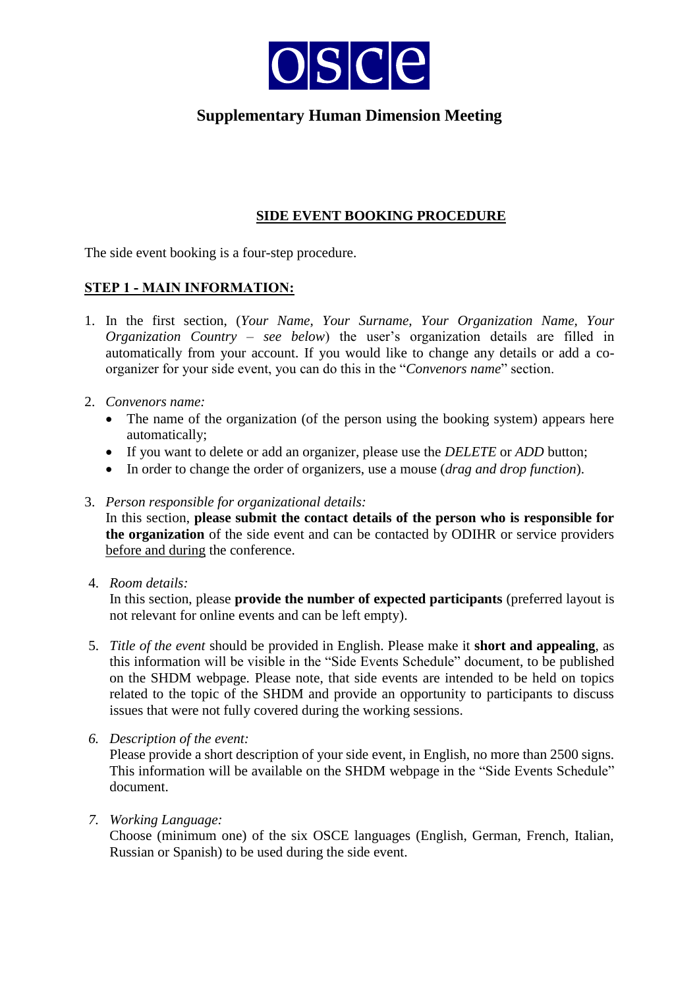

### **SIDE EVENT BOOKING PROCEDURE**

The side event booking is a four-step procedure.

### **STEP 1 - MAIN INFORMATION:**

- 1. In the first section, (*Your Name, Your Surname, Your Organization Name, Your Organization Country – see below*) the user's organization details are filled in automatically from your account. If you would like to change any details or add a coorganizer for your side event, you can do this in the "*Convenors name*" section.
- 2. *Convenors name:*
	- The name of the organization (of the person using the booking system) appears here automatically;
	- If you want to delete or add an organizer, please use the *DELETE* or *ADD* button;
	- In order to change the order of organizers, use a mouse (*drag and drop function*).
- 3. *Person responsible for organizational details:*

In this section, **please submit the contact details of the person who is responsible for the organization** of the side event and can be contacted by ODIHR or service providers before and during the conference.

4. *Room details:* 

In this section, please **provide the number of expected participants** (preferred layout is not relevant for online events and can be left empty).

- 5. *Title of the event* should be provided in English. Please make it **short and appealing**, as this information will be visible in the "Side Events Schedule" document, to be published on the SHDM webpage. Please note, that side events are intended to be held on topics related to the topic of the SHDM and provide an opportunity to participants to discuss issues that were not fully covered during the working sessions.
- *6. Description of the event:*

Please provide a short description of your side event, in English, no more than 2500 signs. This information will be available on the SHDM webpage in the "Side Events Schedule" document.

*7. Working Language:* 

Choose (minimum one) of the six OSCE languages (English, German, French, Italian, Russian or Spanish) to be used during the side event.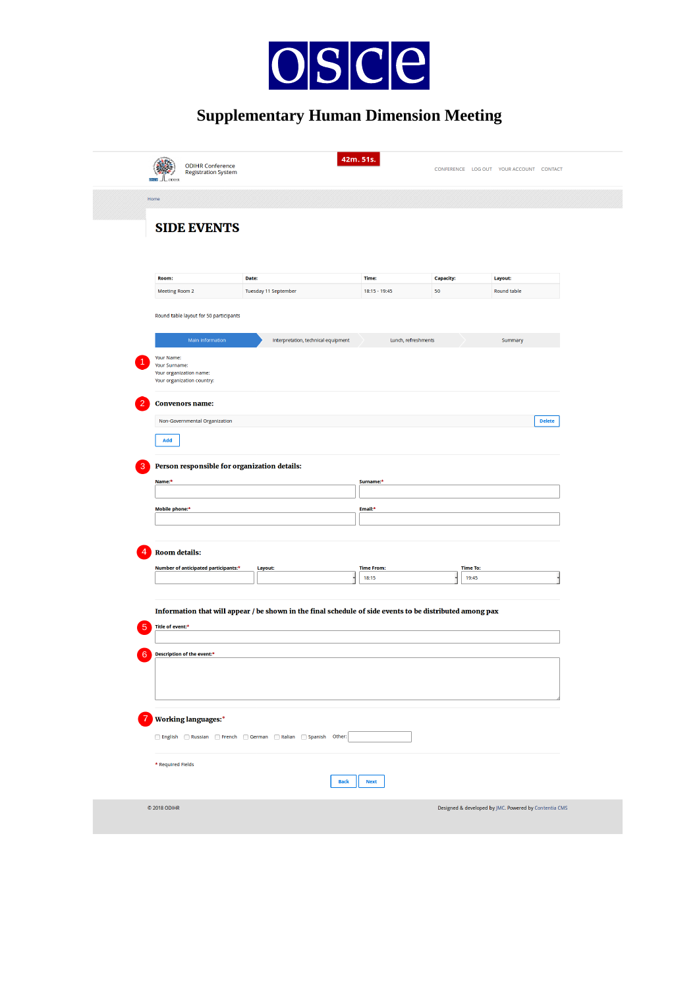

|        | <b>ODIHR Conference</b>                                                              |                                                                                                          |                     |                  | CONFERENCE LOG OUT YOUR ACCOUNT CONTACT |
|--------|--------------------------------------------------------------------------------------|----------------------------------------------------------------------------------------------------------|---------------------|------------------|-----------------------------------------|
|        | <b>Registration System</b>                                                           |                                                                                                          |                     |                  |                                         |
|        | Home                                                                                 |                                                                                                          |                     |                  |                                         |
|        | <b>SIDE EVENTS</b>                                                                   |                                                                                                          |                     |                  |                                         |
|        |                                                                                      |                                                                                                          |                     |                  |                                         |
|        |                                                                                      |                                                                                                          |                     |                  |                                         |
|        | Room:                                                                                | Date:                                                                                                    | Time:               | <b>Capacity:</b> | Layout:                                 |
|        | Meeting Room 2                                                                       | Tuesday 11 September                                                                                     | 18:15 - 19:45       | 50               | Round table                             |
|        | Round table layout for 50 participants                                               |                                                                                                          |                     |                  |                                         |
|        | Main information                                                                     | Interpretation, technical equipment                                                                      | Lunch, refreshments |                  | Summary                                 |
|        | Your Name:<br>Your Surname:<br>Your organization name:<br>Your organization country: |                                                                                                          |                     |                  |                                         |
|        | <b>Convenors name:</b>                                                               |                                                                                                          |                     |                  |                                         |
|        | Non-Governmental Organization                                                        |                                                                                                          |                     |                  | <b>Delete</b>                           |
|        | Add                                                                                  |                                                                                                          |                     |                  |                                         |
|        |                                                                                      |                                                                                                          |                     |                  |                                         |
|        |                                                                                      |                                                                                                          |                     |                  |                                         |
|        | Person responsible for organization details:<br>Name:*                               |                                                                                                          | Surname:*           |                  |                                         |
|        |                                                                                      |                                                                                                          |                     |                  |                                         |
|        | Mobile phone:*                                                                       |                                                                                                          | Email:*             |                  |                                         |
|        |                                                                                      |                                                                                                          |                     |                  |                                         |
|        | <b>Room details:</b>                                                                 |                                                                                                          |                     |                  |                                         |
|        | Number of anticipated participants:*                                                 | Layout:                                                                                                  | <b>Time From:</b>   | <b>Time To:</b>  |                                         |
|        |                                                                                      |                                                                                                          | 18:15               | 19:45            |                                         |
|        |                                                                                      |                                                                                                          |                     |                  |                                         |
|        |                                                                                      | Information that will appear / be shown in the final schedule of side events to be distributed among pax |                     |                  |                                         |
|        | Title of event:*                                                                     |                                                                                                          |                     |                  |                                         |
|        | Description of the event:*                                                           |                                                                                                          |                     |                  |                                         |
|        |                                                                                      |                                                                                                          |                     |                  |                                         |
| 3<br>5 |                                                                                      |                                                                                                          |                     |                  |                                         |
|        |                                                                                      |                                                                                                          |                     |                  |                                         |
|        | <b>Working languages:*</b>                                                           |                                                                                                          |                     |                  |                                         |
|        |                                                                                      |                                                                                                          |                     |                  |                                         |
|        | * Required Fields                                                                    |                                                                                                          |                     |                  |                                         |
|        |                                                                                      | <b>Back</b>                                                                                              | <b>Next</b>         |                  |                                         |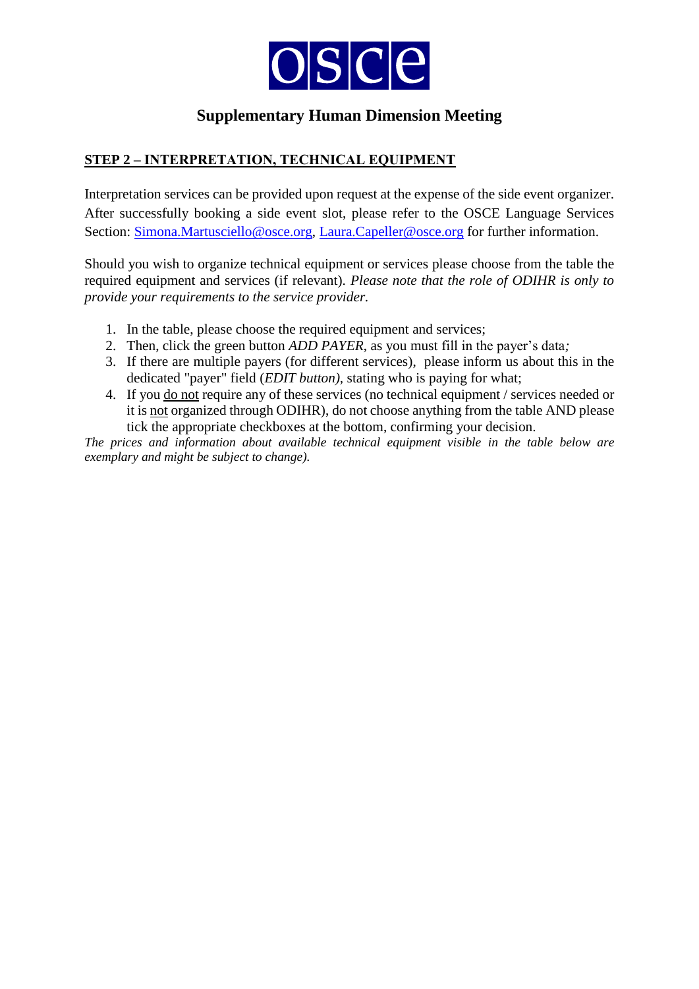

## **STEP 2 – INTERPRETATION, TECHNICAL EQUIPMENT**

Interpretation services can be provided upon request at the expense of the side event organizer. After successfully booking a side event slot, please refer to the OSCE Language Services Section: [Simona.Martusciello@osce.org,](mailto:Simona.Martusciello@osce.org) [Laura.Capeller@osce.org](mailto:Laura.Capeller@osce.org) for further information.

Should you wish to organize technical equipment or services please choose from the table the required equipment and services (if relevant). *Please note that the role of ODIHR is only to provide your requirements to the service provider.* 

- 1. In the table, please choose the required equipment and services;
- 2. Then, click the green button *ADD PAYER*, as you must fill in the payer's data*;*
- 3. If there are multiple payers (for different services), please inform us about this in the dedicated "payer" field (*EDIT button),* stating who is paying for what;
- 4. If you do not require any of these services (no technical equipment / services needed or it is not organized through ODIHR), do not choose anything from the table AND please tick the appropriate checkboxes at the bottom, confirming your decision.

*The prices and information about available technical equipment visible in the table below are exemplary and might be subject to change).*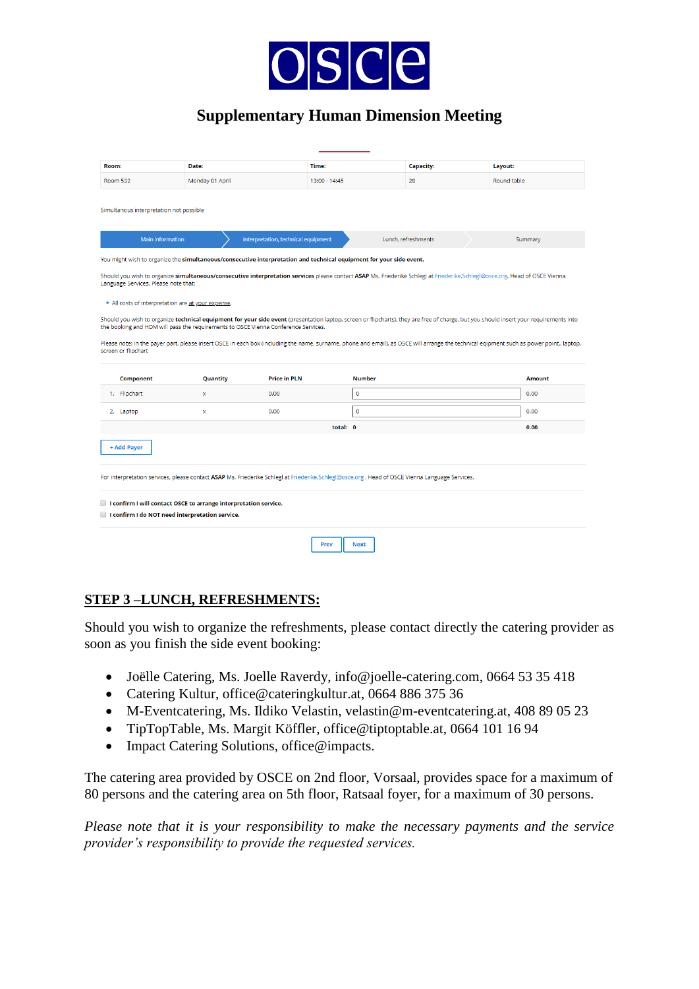

| Room:                                   | Date:                                                                                                                                          |                                     | Time:               | <b>Capacity:</b>    | Layout:                                                                                                                                                                                  |  |
|-----------------------------------------|------------------------------------------------------------------------------------------------------------------------------------------------|-------------------------------------|---------------------|---------------------|------------------------------------------------------------------------------------------------------------------------------------------------------------------------------------------|--|
| <b>Room 532</b>                         | Monday 01 April                                                                                                                                |                                     | 13:00 - 14:45       | 28                  | Round table                                                                                                                                                                              |  |
| Simultanous interpretation not possible |                                                                                                                                                |                                     |                     |                     |                                                                                                                                                                                          |  |
| <b>Main information</b>                 |                                                                                                                                                | Interpretation, technical equipment |                     | Lunch, refreshments | Summary                                                                                                                                                                                  |  |
|                                         | You might wish to organize the simultaneous/consecutive interpretation and technical equipment for your side event.                            |                                     |                     |                     |                                                                                                                                                                                          |  |
| Language Services. Please note that:    |                                                                                                                                                |                                     |                     |                     | Should you wish to organize simultaneous/consecutive interpretation services please contact ASAP Ms. Friederike Schlegl at Friederike.Schlegl@osce.org, Head of OSCE Vienna              |  |
|                                         | . All costs of interpretation are at your expense.                                                                                             |                                     |                     |                     |                                                                                                                                                                                          |  |
|                                         | the booking and HDM will pass the requirements to OSCE Vienna Conference Services.                                                             |                                     |                     |                     | Should you wish to organize technical equipment for your side event (presentation laptop, screen or flipcharts), they are free of charge, but you should insert your requirements into   |  |
| screen or flipchart                     |                                                                                                                                                |                                     |                     |                     | Please note: In the payer part, please insert OSCE in each box (including the name, surname, phone and email), as OSCE will arrange the technical eqipment such as power point,, laptop, |  |
| <b>Component</b><br>1. Flipchart        | Quantity<br>x                                                                                                                                  | <b>Price in PLN</b><br>0.00         | <b>Number</b><br>0  |                     | <b>Amount</b><br>0.00                                                                                                                                                                    |  |
|                                         |                                                                                                                                                |                                     |                     |                     |                                                                                                                                                                                          |  |
| 2. Laptop                               | $\mathbf x$                                                                                                                                    | 0.00                                | 0                   |                     | 0.00                                                                                                                                                                                     |  |
|                                         |                                                                                                                                                |                                     | total: 0            |                     | 0.00                                                                                                                                                                                     |  |
| + Add Payer                             |                                                                                                                                                |                                     |                     |                     |                                                                                                                                                                                          |  |
|                                         | For interpretation services, please contact ASAP Ms. Friederike Schlegl at Friederike.Schlegl@osce.org, Head of OSCE Vienna Language Services. |                                     |                     |                     |                                                                                                                                                                                          |  |
|                                         |                                                                                                                                                |                                     |                     |                     |                                                                                                                                                                                          |  |
|                                         | I confirm I will contact OSCE to arrange interpretation service.                                                                               |                                     |                     |                     |                                                                                                                                                                                          |  |
|                                         | I confirm I do NOT need interpretation service.                                                                                                |                                     |                     |                     |                                                                                                                                                                                          |  |
|                                         |                                                                                                                                                |                                     |                     |                     |                                                                                                                                                                                          |  |
|                                         |                                                                                                                                                |                                     | Prev<br><b>Next</b> |                     |                                                                                                                                                                                          |  |

#### **STEP 3 –LUNCH, REFRESHMENTS:**

Should you wish to organize the refreshments, please contact directly the catering provider as soon as you finish the side event booking:

- Joëlle Catering, Ms. Joelle Raverdy, info@joelle-catering.com, 0664 53 35 418
- Catering Kultur, office@cateringkultur.at, 0664 886 375 36
- M-Eventcatering, Ms. Ildiko Velastin, velastin@m-eventcatering.at, 408 89 05 23
- TipTopTable, Ms. Margit Köffler, office@tiptoptable.at, 0664 101 16 94
- Impact Catering Solutions, office@impacts.

The catering area provided by OSCE on 2nd floor, Vorsaal, provides space for a maximum of 80 persons and the catering area on 5th floor, Ratsaal foyer, for a maximum of 30 persons.

*Please note that it is your responsibility to make the necessary payments and the service provider's responsibility to provide the requested services.*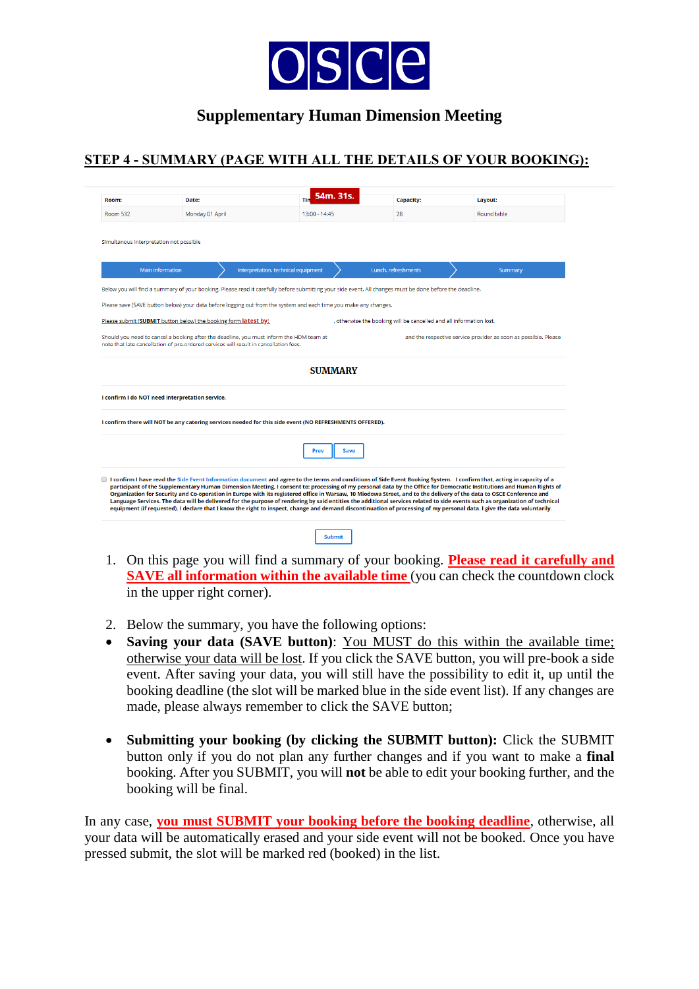

# **STEP 4 - SUMMARY (PAGE WITH ALL THE DETAILS OF YOUR BOOKING):**

| Room:                                           | Date:                                                                                                                                                                                                                                                                                                                                                                                                                                                                                                                                                                                                                                                                                                                                                                                                                                                                            | 54m. 31s.<br>Tin | <b>Capacity:</b>                                                    | Layout:                                                         |  |
|-------------------------------------------------|----------------------------------------------------------------------------------------------------------------------------------------------------------------------------------------------------------------------------------------------------------------------------------------------------------------------------------------------------------------------------------------------------------------------------------------------------------------------------------------------------------------------------------------------------------------------------------------------------------------------------------------------------------------------------------------------------------------------------------------------------------------------------------------------------------------------------------------------------------------------------------|------------------|---------------------------------------------------------------------|-----------------------------------------------------------------|--|
| <b>Room 532</b>                                 | Monday 01 April                                                                                                                                                                                                                                                                                                                                                                                                                                                                                                                                                                                                                                                                                                                                                                                                                                                                  |                  | 28                                                                  | Round table                                                     |  |
| Simultanous interpretation not possible         |                                                                                                                                                                                                                                                                                                                                                                                                                                                                                                                                                                                                                                                                                                                                                                                                                                                                                  | 13:00 - 14:45    |                                                                     |                                                                 |  |
| <b>Main information</b>                         | Interpretation, technical equipment                                                                                                                                                                                                                                                                                                                                                                                                                                                                                                                                                                                                                                                                                                                                                                                                                                              |                  | Lunch, refreshments                                                 | Summary                                                         |  |
|                                                 | Below you will find a summary of your booking. Please read it carefully before submitting your side event. All changes must be done before the deadline.                                                                                                                                                                                                                                                                                                                                                                                                                                                                                                                                                                                                                                                                                                                         |                  |                                                                     |                                                                 |  |
|                                                 | Please save (SAVE button below) your data before logging out from the system and each time you make any changes.                                                                                                                                                                                                                                                                                                                                                                                                                                                                                                                                                                                                                                                                                                                                                                 |                  |                                                                     |                                                                 |  |
|                                                 | Please submit (SUBMIT button below) the booking form latest by:                                                                                                                                                                                                                                                                                                                                                                                                                                                                                                                                                                                                                                                                                                                                                                                                                  |                  | , otherwise the booking will be cancelled and all information lost. |                                                                 |  |
|                                                 | Should you need to cancel a booking after the deadline, you must inform the HDM team at<br>note that late cancellation of pre-ordered services will result in cancellation fees.                                                                                                                                                                                                                                                                                                                                                                                                                                                                                                                                                                                                                                                                                                 |                  |                                                                     | and the respective service provider as soon as possible. Please |  |
|                                                 |                                                                                                                                                                                                                                                                                                                                                                                                                                                                                                                                                                                                                                                                                                                                                                                                                                                                                  | <b>SUMMARY</b>   |                                                                     |                                                                 |  |
| I confirm I do NOT need interpretation service. |                                                                                                                                                                                                                                                                                                                                                                                                                                                                                                                                                                                                                                                                                                                                                                                                                                                                                  |                  |                                                                     |                                                                 |  |
|                                                 | I confirm there will NOT be any catering services needed for this side event (NO REFRESHMENTS OFFERED).                                                                                                                                                                                                                                                                                                                                                                                                                                                                                                                                                                                                                                                                                                                                                                          |                  |                                                                     |                                                                 |  |
|                                                 |                                                                                                                                                                                                                                                                                                                                                                                                                                                                                                                                                                                                                                                                                                                                                                                                                                                                                  | Prev<br>Save     |                                                                     |                                                                 |  |
|                                                 | I confirm I have read the Side Event Information document and agree to the terms and conditions of Side Event Booking System. I confirm that, acting in capacity of a<br>participant of the Supplementary Human Dimension Meeting, I consent to: processing of my personal data by the Office for Democratic Institutions and Human Rights of<br>Organization for Security and Co-operation in Europe with its registered office in Warsaw, 10 Miodowa Street, and to the delivery of the data to OSCE Conference and<br>Language Services. The data will be delivered for the purpose of rendering by said entities the additional services related to side events such as organization of technical<br>equipment (if requested). I declare that I know the right to inspect, change and demand discontinuation of processing of my personal data. I give the data voluntarily. |                  |                                                                     |                                                                 |  |
|                                                 |                                                                                                                                                                                                                                                                                                                                                                                                                                                                                                                                                                                                                                                                                                                                                                                                                                                                                  | <b>Submit</b>    |                                                                     |                                                                 |  |

- 1. On this page you will find a summary of your booking. **Please read it carefully and SAVE all information within the available time** (you can check the countdown clock in the upper right corner).
- 2. Below the summary, you have the following options:
- **Saving your data (SAVE button)**: You MUST do this within the available time; otherwise your data will be lost. If you click the SAVE button, you will pre-book a side event. After saving your data, you will still have the possibility to edit it, up until the booking deadline (the slot will be marked blue in the side event list). If any changes are made, please always remember to click the SAVE button;
- Submitting your booking (by clicking the SUBMIT button): Click the SUBMIT button only if you do not plan any further changes and if you want to make a **final**  booking. After you SUBMIT, you will **not** be able to edit your booking further, and the booking will be final.

In any case, **you must SUBMIT your booking before the booking deadline**, otherwise, all your data will be automatically erased and your side event will not be booked. Once you have pressed submit, the slot will be marked red (booked) in the list.